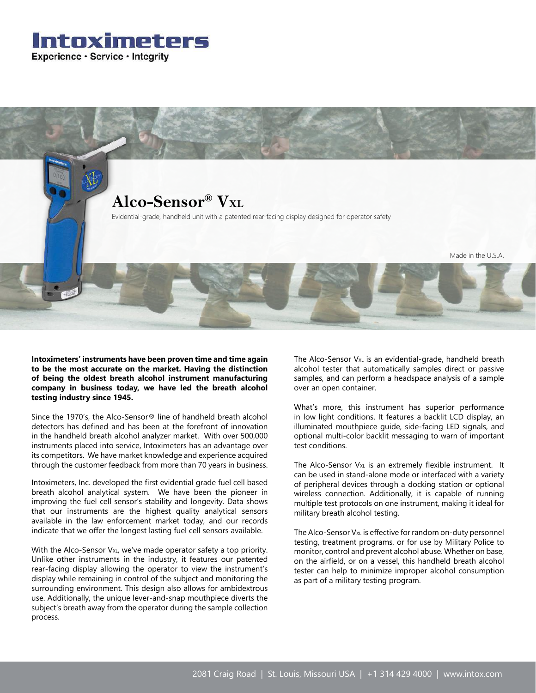



**Intoximeters' instruments have been proven time and time again to be the most accurate on the market. Having the distinction of being the oldest breath alcohol instrument manufacturing company in business today, we have led the breath alcohol testing industry since 1945.**

Since the 1970's, the Alco-Sensor® line of handheld breath alcohol detectors has defined and has been at the forefront of innovation in the handheld breath alcohol analyzer market. With over 500,000 instruments placed into service, Intoximeters has an advantage over its competitors. We have market knowledge and experience acquired through the customer feedback from more than 70 years in business.

Intoximeters, Inc. developed the first evidential grade fuel cell based breath alcohol analytical system. We have been the pioneer in improving the fuel cell sensor's stability and longevity. Data shows that our instruments are the highest quality analytical sensors available in the law enforcement market today, and our records indicate that we offer the longest lasting fuel cell sensors available.

With the Alco-Sensor V<sub>XL</sub>, we've made operator safety a top priority. Unlike other instruments in the industry, it features our patented rear-facing display allowing the operator to view the instrument's display while remaining in control of the subject and monitoring the surrounding environment. This design also allows for ambidextrous use. Additionally, the unique lever-and-snap mouthpiece diverts the subject's breath away from the operator during the sample collection process.

The Alco-Sensor  $V_{XL}$  is an evidential-grade, handheld breath alcohol tester that automatically samples direct or passive samples, and can perform a headspace analysis of a sample over an open container.

What's more, this instrument has superior performance in low light conditions. It features a backlit LCD display, an illuminated mouthpiece guide, side-facing LED signals, and optional multi-color backlit messaging to warn of important test conditions.

The Alco-Sensor  $V_{XL}$  is an extremely flexible instrument. It can be used in stand-alone mode or interfaced with a variety of peripheral devices through a docking station or optional wireless connection. Additionally, it is capable of running multiple test protocols on one instrument, making it ideal for military breath alcohol testing.

The Alco-Sensor V<sub>xL</sub> is effective for random on-duty personnel testing, treatment programs, or for use by Military Police to monitor, control and prevent alcohol abuse. Whether on base, on the airfield, or on a vessel, this handheld breath alcohol tester can help to minimize improper alcohol consumption as part of a military testing program.